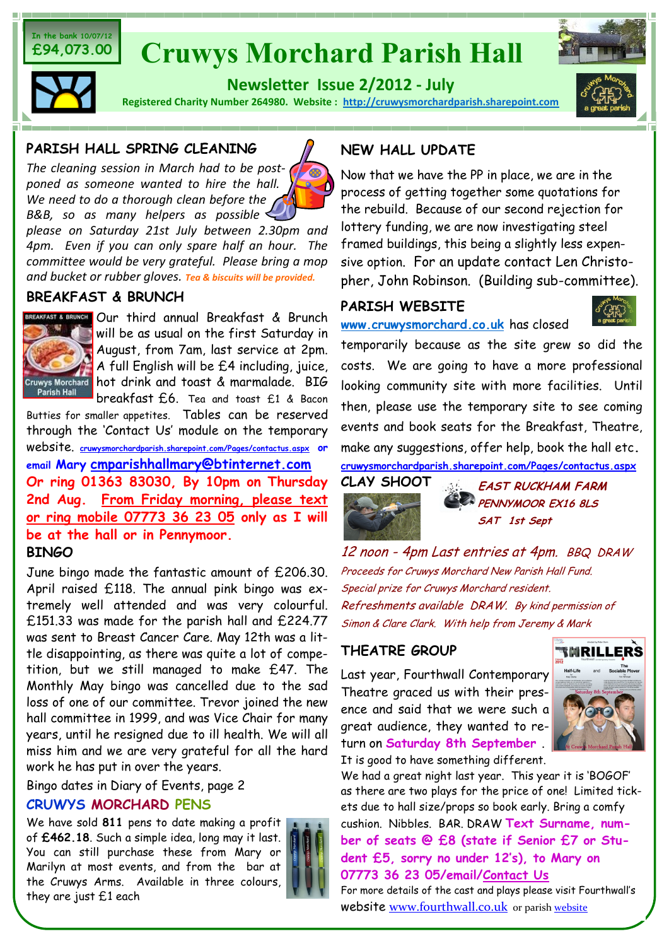#### **In the bank 10/07/12 £94,073.00**

# **Cruwys Morchard Parish Hall**



**Newsletter Issue 2/2012 - July** 

**Registered Charity Number 264980. Website : <http://cruwysmorchardparish.sharepoint.com>**



#### **PARISH HALL SPRING CLEANING**

*The cleaning session in March had to be postponed as someone wanted to hire the hall. We need to do a thorough clean before the B&B, so as many helpers as possible* 

*please on Saturday 21st July between 2.30pm and 4pm. Even if you can only spare half an hour. The committee would be very grateful. Please bring a mop and bucket or rubber gloves. Tea & biscuits will be provided.*

### **BREAKFAST & BRUNCH**



BREAKFAST & BRUNCH Our third annual Breakfast & Brunch will be as usual on the first Saturday in August, from 7am, last service at 2pm. A full English will be £4 including, juice, Cruwys Morchard hot drink and toast & marmalade. BIG breakfast £6. Tea and toast £1 & Bacon

Butties for smaller appetites. Tables can be reserved through the 'Contact Us' module on the temporary website. **[cruwysmorchardparish.sharepoint.com/Pages/contactus.aspx](http://cruwysmorchardparish.sharepoint.com/Pages/contactus.aspx) or email Mary [cmparishhallmary@btinternet.com](mailto:cmparishhallmary@btinternet.com) Or ring 01363 83030, By 10pm on Thursday 2nd Aug. From Friday morning, please text or ring mobile 07773 36 23 05 only as I will be at the hall or in Pennymoor. BINGO**

June bingo made the fantastic amount of £206.30. April raised £118. The annual pink bingo was extremely well attended and was very colourful. £151.33 was made for the parish hall and £224.77 was sent to Breast Cancer Care. May 12th was a little disappointing, as there was quite a lot of competition, but we still managed to make £47. The Monthly May bingo was cancelled due to the sad loss of one of our committee. Trevor joined the new hall committee in 1999, and was Vice Chair for many years, until he resigned due to ill health. We will all miss him and we are very grateful for all the hard work he has put in over the years.

Bingo dates in Diary of Events, page 2

#### **CRUWYS MORCHARD PENS**

We have sold **811** pens to date making a profit of **£462.18**. Such a simple idea, long may it last. You can still purchase these from Mary or Marilyn at most events, and from the bar at the Cruwys Arms. Available in three colours, they are just £1 each



## **NEW HALL UPDATE**

Now that we have the PP in place, we are in the process of getting together some quotations for the rebuild. Because of our second rejection for lottery funding, we are now investigating steel framed buildings, this being a slightly less expensive option. For an update contact Len Christopher, John Robinson. (Building sub-committee).

## **PARISH WEBSITE**

**[www.cruwysmorchard.co.uk](http://cruwysmorchardparish.sharepoint.com)** has closed



temporarily because as the site grew so did the costs. We are going to have a more professional looking community site with more facilities. Until then, please use the temporary site to see coming events and book seats for the Breakfast, Theatre, make any suggestions, offer help, book the hall etc**.** 

**[cruwysmorchardparish.sharepoint.com/Pages/contactus.aspx](http://cruwysmorchardparish.sharepoint.com/Pages/contactus.aspx)**



**EAST RUCKHAM FARM PENNYMOOR EX16 8LS SAT 1st Sept**

12 noon - 4pm Last entries at 4pm. BBQ DRAW Proceeds for Cruwys Morchard New Parish Hall Fund. Special prize for Cruwys Morchard resident. Refreshments available DRAW. By kind permission of Simon & Clare Clark. With help from Jeremy & Mark

## **THEATRE GROUP**

Last year, Fourthwall Contemporary Theatre graced us with their presence and said that we were such a great audience, they wanted to return on **Saturday 8th September** . It is good to have something different.



We had a great night last year. This year it is 'BOGOF' as there are two plays for the price of one! Limited tickets due to hall size/props so book early. Bring a comfy cushion. Nibbles. BAR. DRAW **Text Surname, number of seats @ £8 (state if Senior £7 or Student £5, sorry no under 12's), to Mary on 07773 36 23 05/email/[Contact Us](http://cruwysmorchardparish.sharepoint.com/Pages/contactus.aspx)**

For more details of the cast and plays please visit Fourthwall's website [www.fourthwall.co.uk](http://www.fourthwall.co.uk/) or parish [website](http://cruwysmorchardparish.sharepoint.com)